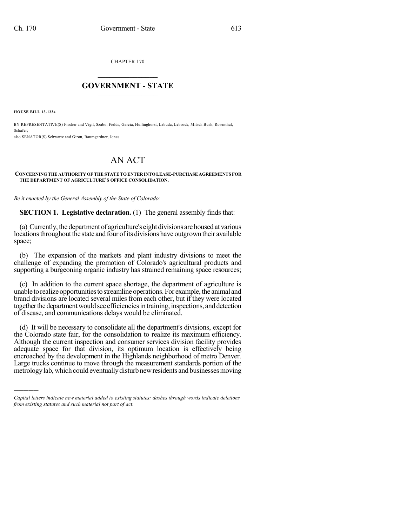CHAPTER 170

## $\mathcal{L}_\text{max}$  . The set of the set of the set of the set of the set of the set of the set of the set of the set of the set of the set of the set of the set of the set of the set of the set of the set of the set of the set **GOVERNMENT - STATE**  $\_$   $\_$   $\_$   $\_$   $\_$   $\_$   $\_$   $\_$   $\_$

**HOUSE BILL 13-1234**

)))))

BY REPRESENTATIVE(S) Fischer and Vigil, Szabo, Fields, Garcia, Hullinghorst, Labuda, Lebsock, Mitsch Bush, Rosenthal, Schafer;

also SENATOR(S) Schwartz and Giron, Baumgardner, Jones.

## AN ACT

## **CONCERNINGTHE AUTHORITY OF THE STATETOENTER INTOLEASE-PURCHASE AGREEMENTS FOR THE DEPARTMENT OF AGRICULTURE'S OFFICE CONSOLIDATION.**

*Be it enacted by the General Assembly of the State of Colorado:*

**SECTION 1. Legislative declaration.** (1) The general assembly finds that:

(a) Currently, the department of agriculture's eight divisions arehoused at various locations throughout the state and four of its divisions have outgrown their available space;

(b) The expansion of the markets and plant industry divisions to meet the challenge of expanding the promotion of Colorado's agricultural products and supporting a burgeoning organic industry has strained remaining space resources;

(c) In addition to the current space shortage, the department of agriculture is unable to realize opportunities to streamline operations. For example, the animal and brand divisions are located several miles from each other, but if they were located together the department would see efficiencies in training, inspections, and detection of disease, and communications delays would be eliminated.

(d) It will be necessary to consolidate all the department's divisions, except for the Colorado state fair, for the consolidation to realize its maximum efficiency. Although the current inspection and consumer services division facility provides adequate space for that division, its optimum location is effectively being encroached by the development in the Highlands neighborhood of metro Denver. Large trucks continue to move through the measurement standards portion of the metrology lab, which could eventually disturb new residents and businesses moving

*Capital letters indicate new material added to existing statutes; dashes through words indicate deletions from existing statutes and such material not part of act.*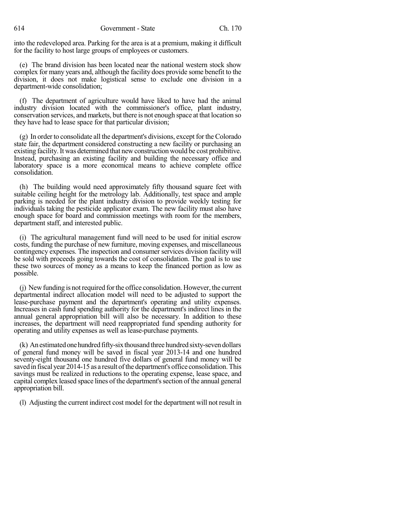into the redeveloped area. Parking for the area is at a premium, making it difficult for the facility to host large groups of employees or customers.

(e) The brand division has been located near the national western stock show complex for many years and, although the facility does provide some benefit to the division, it does not make logistical sense to exclude one division in a department-wide consolidation;

(f) The department of agriculture would have liked to have had the animal industry division located with the commissioner's office, plant industry, conservation services, and markets, but there is not enough space at that location so they have had to lease space for that particular division;

 $(g)$  In order to consolidate all the department's divisions, except for the Colorado state fair, the department considered constructing a new facility or purchasing an existing facility.It was determined that newconstruction would be cost prohibitive. Instead, purchasing an existing facility and building the necessary office and laboratory space is a more economical means to achieve complete office consolidation.

(h) The building would need approximately fifty thousand square feet with suitable ceiling height for the metrology lab. Additionally, test space and ample parking is needed for the plant industry division to provide weekly testing for individuals taking the pesticide applicator exam. The new facility must also have enough space for board and commission meetings with room for the members, department staff, and interested public.

(i) The agricultural management fund will need to be used for initial escrow costs, funding the purchase of new furniture, moving expenses, and miscellaneous contingency expenses. The inspection and consumer services division facility will be sold with proceeds going towards the cost of consolidation. The goal is to use these two sources of money as a means to keep the financed portion as low as possible.

(j) Newfunding is notrequired forthe office consolidation. However, the current departmental indirect allocation model will need to be adjusted to support the lease-purchase payment and the department's operating and utility expenses. Increases in cash fund spending authority for the department's indirect lines in the annual general appropriation bill will also be necessary. In addition to these increases, the department will need reappropriated fund spending authority for operating and utility expenses as well as lease-purchase payments.

(k) An estimated one hundred fifty-six thousand three hundred sixty-seven dollars of general fund money will be saved in fiscal year 2013-14 and one hundred seventy-eight thousand one hundred five dollars of general fund money will be saved in fiscal year 2014-15 as a result of the department's office consolidation. This savings must be realized in reductions to the operating expense, lease space, and capital complex leased space lines of the department'ssection of the annual general appropriation bill.

(l) Adjusting the current indirect cost model for the department will not result in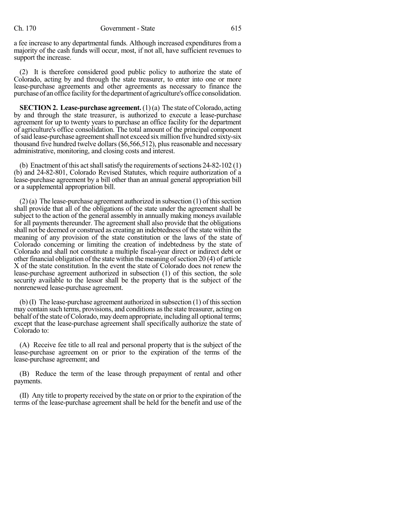a fee increase to any departmental funds. Although increased expenditures from a majority of the cash funds will occur, most, if not all, have sufficient revenues to support the increase.

(2) It is therefore considered good public policy to authorize the state of Colorado, acting by and through the state treasurer, to enter into one or more lease-purchase agreements and other agreements as necessary to finance the purchase of an office facility for the department of agriculture's office consolidation.

**SECTION 2. Lease-purchase agreement.** (1)(a) The state of Colorado, acting by and through the state treasurer, is authorized to execute a lease-purchase agreement for up to twenty years to purchase an office facility for the department of agriculture's office consolidation. The total amount of the principal component ofsaid lease-purchase agreementshall not exceed sixmillion five hundred sixty-six thousand five hundred twelve dollars (\$6,566,512), plus reasonable and necessary administrative, monitoring, and closing costs and interest.

(b) Enactment of this act shall satisfy the requirements of sections 24-82-102 (1) (b) and 24-82-801, Colorado Revised Statutes, which require authorization of a lease-purchase agreement by a bill other than an annual general appropriation bill or a supplemental appropriation bill.

 $(2)$  (a) The lease-purchase agreement authorized in subsection  $(1)$  of this section shall provide that all of the obligations of the state under the agreement shall be subject to the action of the general assembly in annually making moneys available for all payments thereunder. The agreement shall also provide that the obligations shall not be deemed or construed as creating an indebtedness of the state within the meaning of any provision of the state constitution or the laws of the state of Colorado concerning or limiting the creation of indebtedness by the state of Colorado and shall not constitute a multiple fiscal-year direct or indirect debt or other financial obligation of the state within the meaning of section  $20(4)$  of article X of the state constitution. In the event the state of Colorado does not renew the lease-purchase agreement authorized in subsection (1) of this section, the sole security available to the lessor shall be the property that is the subject of the nonrenewed lease-purchase agreement.

(b) (I) The lease-purchase agreement authorized in subsection (1) of thissection may contain such terms, provisions, and conditions asthe state treasurer, acting on behalf of the state of Colorado, may deem appropriate, including all optional terms; except that the lease-purchase agreement shall specifically authorize the state of Colorado to:

(A) Receive fee title to all real and personal property that is the subject of the lease-purchase agreement on or prior to the expiration of the terms of the lease-purchase agreement; and

(B) Reduce the term of the lease through prepayment of rental and other payments.

(II) Any title to property received by the state on or prior to the expiration of the terms of the lease-purchase agreement shall be held for the benefit and use of the